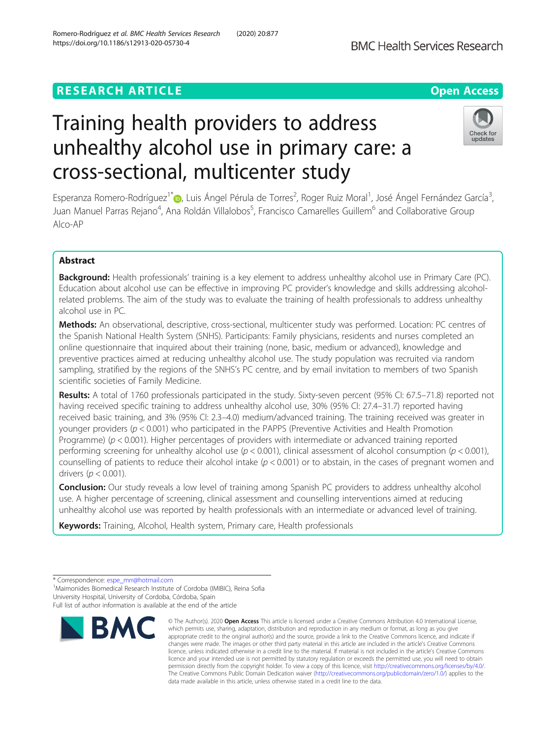# **RESEARCH ARTICLE Example 2014 12:30 The Contract of Contract ACCESS**

# Training health providers to address unhealthy alcohol use in primary care: a cross-sectional, multicenter study

Esperanza Romero-Rodríguez<sup>1\*</sup>®[,](http://orcid.org/0000-0001-5054-3845) Luis Ángel Pérula de Torres<sup>2</sup>, Roger Ruiz Moral<sup>1</sup>, José Ángel Fernández García<sup>3</sup> , Juan Manuel Parras Rejano<sup>4</sup>, Ana Roldán Villalobos<sup>5</sup>, Francisco Camarelles Guillem<sup>6</sup> and Collaborative Group Alco-AP

# Abstract

Background: Health professionals' training is a key element to address unhealthy alcohol use in Primary Care (PC). Education about alcohol use can be effective in improving PC provider's knowledge and skills addressing alcoholrelated problems. The aim of the study was to evaluate the training of health professionals to address unhealthy alcohol use in PC.

Methods: An observational, descriptive, cross-sectional, multicenter study was performed. Location: PC centres of the Spanish National Health System (SNHS). Participants: Family physicians, residents and nurses completed an online questionnaire that inquired about their training (none, basic, medium or advanced), knowledge and preventive practices aimed at reducing unhealthy alcohol use. The study population was recruited via random sampling, stratified by the regions of the SNHS's PC centre, and by email invitation to members of two Spanish scientific societies of Family Medicine.

Results: A total of 1760 professionals participated in the study. Sixty-seven percent (95% CI: 67.5–71.8) reported not having received specific training to address unhealthy alcohol use, 30% (95% CI: 27.4–31.7) reported having received basic training, and 3% (95% CI: 2.3–4.0) medium/advanced training. The training received was greater in younger providers ( $p < 0.001$ ) who participated in the PAPPS (Preventive Activities and Health Promotion Programme) ( $p < 0.001$ ). Higher percentages of providers with intermediate or advanced training reported performing screening for unhealthy alcohol use ( $p < 0.001$ ), clinical assessment of alcohol consumption ( $p < 0.001$ ), counselling of patients to reduce their alcohol intake  $(p < 0.001)$  or to abstain, in the cases of pregnant women and drivers ( $p < 0.001$ ).

**Conclusion:** Our study reveals a low level of training among Spanish PC providers to address unhealthy alcohol use. A higher percentage of screening, clinical assessment and counselling interventions aimed at reducing unhealthy alcohol use was reported by health professionals with an intermediate or advanced level of training.

Keywords: Training, Alcohol, Health system, Primary care, Health professionals

<sup>1</sup>Maimonides Biomedical Research Institute of Cordoba (IMIBIC), Reina Sofia University Hospital, University of Cordoba, Córdoba, Spain







<sup>©</sup> The Author(s), 2020 **Open Access** This article is licensed under a Creative Commons Attribution 4.0 International License, which permits use, sharing, adaptation, distribution and reproduction in any medium or format, as long as you give appropriate credit to the original author(s) and the source, provide a link to the Creative Commons licence, and indicate if changes were made. The images or other third party material in this article are included in the article's Creative Commons licence, unless indicated otherwise in a credit line to the material. If material is not included in the article's Creative Commons licence and your intended use is not permitted by statutory regulation or exceeds the permitted use, you will need to obtain permission directly from the copyright holder. To view a copy of this licence, visit [http://creativecommons.org/licenses/by/4.0/.](http://creativecommons.org/licenses/by/4.0/) The Creative Commons Public Domain Dedication waiver [\(http://creativecommons.org/publicdomain/zero/1.0/](http://creativecommons.org/publicdomain/zero/1.0/)) applies to the data made available in this article, unless otherwise stated in a credit line to the data.

<sup>\*</sup> Correspondence: [espe\\_mrr@hotmail.com](mailto:espe_mrr@hotmail.com) <sup>1</sup>

Full list of author information is available at the end of the article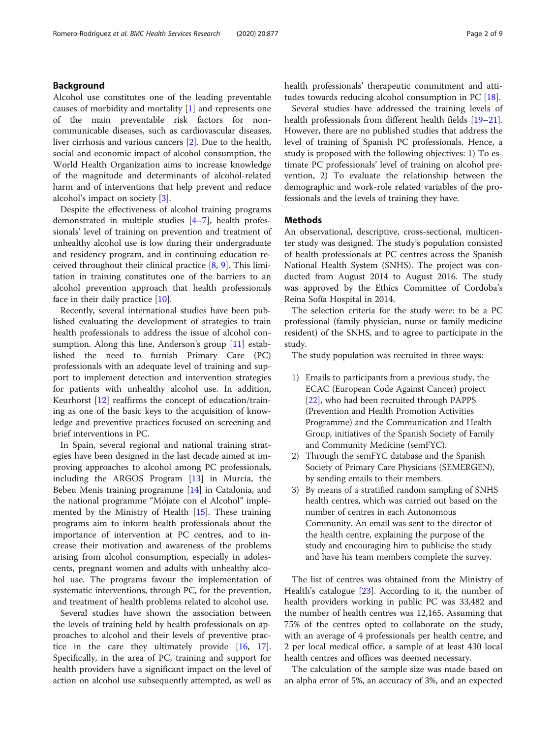# Background

Alcohol use constitutes one of the leading preventable causes of morbidity and mortality [\[1](#page-6-0)] and represents one of the main preventable risk factors for noncommunicable diseases, such as cardiovascular diseases, liver cirrhosis and various cancers [[2\]](#page-7-0). Due to the health, social and economic impact of alcohol consumption, the World Health Organization aims to increase knowledge of the magnitude and determinants of alcohol-related harm and of interventions that help prevent and reduce alcohol's impact on society [\[3\]](#page-7-0).

Despite the effectiveness of alcohol training programs demonstrated in multiple studies [[4](#page-7-0)–[7\]](#page-7-0), health professionals' level of training on prevention and treatment of unhealthy alcohol use is low during their undergraduate and residency program, and in continuing education received throughout their clinical practice  $[8, 9]$  $[8, 9]$  $[8, 9]$  $[8, 9]$ . This limitation in training constitutes one of the barriers to an alcohol prevention approach that health professionals face in their daily practice [\[10\]](#page-7-0).

Recently, several international studies have been published evaluating the development of strategies to train health professionals to address the issue of alcohol consumption. Along this line, Anderson's group  $[11]$  $[11]$  established the need to furnish Primary Care (PC) professionals with an adequate level of training and support to implement detection and intervention strategies for patients with unhealthy alcohol use. In addition, Keurhorst [\[12](#page-7-0)] reaffirms the concept of education/training as one of the basic keys to the acquisition of knowledge and preventive practices focused on screening and brief interventions in PC.

In Spain, several regional and national training strategies have been designed in the last decade aimed at improving approaches to alcohol among PC professionals, including the ARGOS Program [\[13](#page-7-0)] in Murcia, the Bebeu Menis training programme [\[14](#page-7-0)] in Catalonia, and the national programme "Mójate con el Alcohol" implemented by the Ministry of Health [\[15\]](#page-7-0). These training programs aim to inform health professionals about the importance of intervention at PC centres, and to increase their motivation and awareness of the problems arising from alcohol consumption, especially in adolescents, pregnant women and adults with unhealthy alcohol use. The programs favour the implementation of systematic interventions, through PC, for the prevention, and treatment of health problems related to alcohol use.

Several studies have shown the association between the levels of training held by health professionals on approaches to alcohol and their levels of preventive practice in the care they ultimately provide [[16](#page-7-0), [17](#page-7-0)]. Specifically, in the area of PC, training and support for health providers have a significant impact on the level of action on alcohol use subsequently attempted, as well as health professionals' therapeutic commitment and attitudes towards reducing alcohol consumption in PC [[18](#page-7-0)].

Several studies have addressed the training levels of health professionals from different health fields [[19](#page-7-0)–[21](#page-7-0)]. However, there are no published studies that address the level of training of Spanish PC professionals. Hence, a study is proposed with the following objectives: 1) To estimate PC professionals' level of training on alcohol prevention, 2) To evaluate the relationship between the demographic and work-role related variables of the professionals and the levels of training they have.

## Methods

An observational, descriptive, cross-sectional, multicenter study was designed. The study's population consisted of health professionals at PC centres across the Spanish National Health System (SNHS). The project was conducted from August 2014 to August 2016. The study was approved by the Ethics Committee of Cordoba's Reina Sofía Hospital in 2014.

The selection criteria for the study were: to be a PC professional (family physician, nurse or family medicine resident) of the SNHS, and to agree to participate in the study.

The study population was recruited in three ways:

- 1) Emails to participants from a previous study, the ECAC (European Code Against Cancer) project [[22](#page-7-0)], who had been recruited through PAPPS (Prevention and Health Promotion Activities Programme) and the Communication and Health Group, initiatives of the Spanish Society of Family and Community Medicine (semFYC).
- 2) Through the semFYC database and the Spanish Society of Primary Care Physicians (SEMERGEN), by sending emails to their members.
- 3) By means of a stratified random sampling of SNHS health centres, which was carried out based on the number of centres in each Autonomous Community. An email was sent to the director of the health centre, explaining the purpose of the study and encouraging him to publicise the study and have his team members complete the survey.

The list of centres was obtained from the Ministry of Health's catalogue [[23](#page-7-0)]. According to it, the number of health providers working in public PC was 33,482 and the number of health centres was 12,165. Assuming that 75% of the centres opted to collaborate on the study, with an average of 4 professionals per health centre, and 2 per local medical office, a sample of at least 430 local health centres and offices was deemed necessary.

The calculation of the sample size was made based on an alpha error of 5%, an accuracy of 3%, and an expected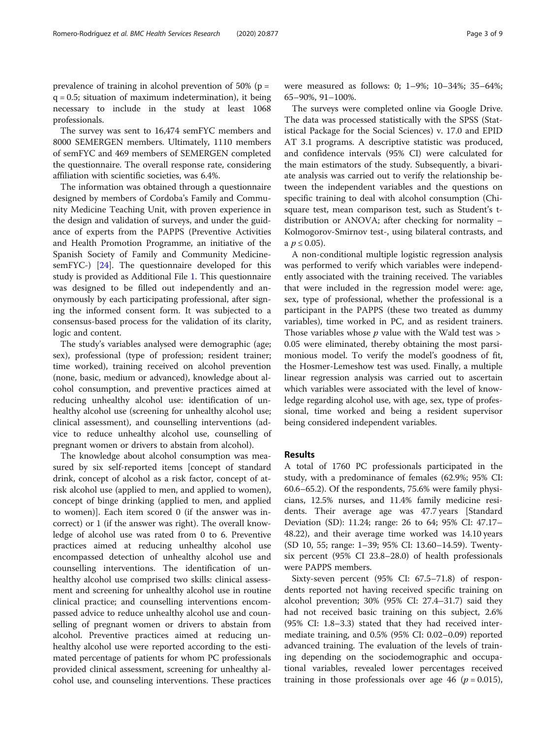prevalence of training in alcohol prevention of 50% (p =  $q = 0.5$ ; situation of maximum indetermination), it being necessary to include in the study at least 1068 professionals.

The survey was sent to 16,474 semFYC members and 8000 SEMERGEN members. Ultimately, 1110 members of semFYC and 469 members of SEMERGEN completed the questionnaire. The overall response rate, considering affiliation with scientific societies, was 6.4%.

The information was obtained through a questionnaire designed by members of Cordoba's Family and Community Medicine Teaching Unit, with proven experience in the design and validation of surveys, and under the guidance of experts from the PAPPS (Preventive Activities and Health Promotion Programme, an initiative of the Spanish Society of Family and Community MedicinesemFYC-) [[24\]](#page-7-0). The questionnaire developed for this study is provided as Additional File [1](#page-6-0). This questionnaire was designed to be filled out independently and anonymously by each participating professional, after signing the informed consent form. It was subjected to a consensus-based process for the validation of its clarity, logic and content.

The study's variables analysed were demographic (age; sex), professional (type of profession; resident trainer; time worked), training received on alcohol prevention (none, basic, medium or advanced), knowledge about alcohol consumption, and preventive practices aimed at reducing unhealthy alcohol use: identification of unhealthy alcohol use (screening for unhealthy alcohol use; clinical assessment), and counselling interventions (advice to reduce unhealthy alcohol use, counselling of pregnant women or drivers to abstain from alcohol).

The knowledge about alcohol consumption was measured by six self-reported items [concept of standard drink, concept of alcohol as a risk factor, concept of atrisk alcohol use (applied to men, and applied to women), concept of binge drinking (applied to men, and applied to women)]. Each item scored 0 (if the answer was incorrect) or 1 (if the answer was right). The overall knowledge of alcohol use was rated from 0 to 6. Preventive practices aimed at reducing unhealthy alcohol use encompassed detection of unhealthy alcohol use and counselling interventions. The identification of unhealthy alcohol use comprised two skills: clinical assessment and screening for unhealthy alcohol use in routine clinical practice; and counselling interventions encompassed advice to reduce unhealthy alcohol use and counselling of pregnant women or drivers to abstain from alcohol. Preventive practices aimed at reducing unhealthy alcohol use were reported according to the estimated percentage of patients for whom PC professionals provided clinical assessment, screening for unhealthy alcohol use, and counseling interventions. These practices were measured as follows: 0; 1–9%; 10–34%; 35–64%; 65–90%, 91–100%.

The surveys were completed online via Google Drive. The data was processed statistically with the SPSS (Statistical Package for the Social Sciences) v. 17.0 and EPID AT 3.1 programs. A descriptive statistic was produced, and confidence intervals (95% CI) were calculated for the main estimators of the study. Subsequently, a bivariate analysis was carried out to verify the relationship between the independent variables and the questions on specific training to deal with alcohol consumption (Chisquare test, mean comparison test, such as Student's tdistribution or ANOVA; after checking for normality – Kolmogorov-Smirnov test-, using bilateral contrasts, and a *p* ≤ 0.05).

A non-conditional multiple logistic regression analysis was performed to verify which variables were independently associated with the training received. The variables that were included in the regression model were: age, sex, type of professional, whether the professional is a participant in the PAPPS (these two treated as dummy variables), time worked in PC, and as resident trainers. Those variables whose  $p$  value with the Wald test was  $>$ 0.05 were eliminated, thereby obtaining the most parsimonious model. To verify the model's goodness of fit, the Hosmer-Lemeshow test was used. Finally, a multiple linear regression analysis was carried out to ascertain which variables were associated with the level of knowledge regarding alcohol use, with age, sex, type of professional, time worked and being a resident supervisor being considered independent variables.

# Results

A total of 1760 PC professionals participated in the study, with a predominance of females (62.9%; 95% CI: 60.6–65.2). Of the respondents, 75.6% were family physicians, 12.5% nurses, and 11.4% family medicine residents. Their average age was 47.7 years [Standard Deviation (SD): 11.24; range: 26 to 64; 95% CI: 47.17– 48.22), and their average time worked was 14.10 years (SD 10, 55; range: 1–39; 95% CI: 13.60–14.59). Twentysix percent (95% CI 23.8–28.0) of health professionals were PAPPS members.

Sixty-seven percent (95% CI: 67.5–71.8) of respondents reported not having received specific training on alcohol prevention; 30% (95% CI: 27.4–31.7) said they had not received basic training on this subject, 2.6% (95% CI: 1.8–3.3) stated that they had received intermediate training, and 0.5% (95% CI: 0.02–0.09) reported advanced training. The evaluation of the levels of training depending on the sociodemographic and occupational variables, revealed lower percentages received training in those professionals over age 46 ( $p = 0.015$ ),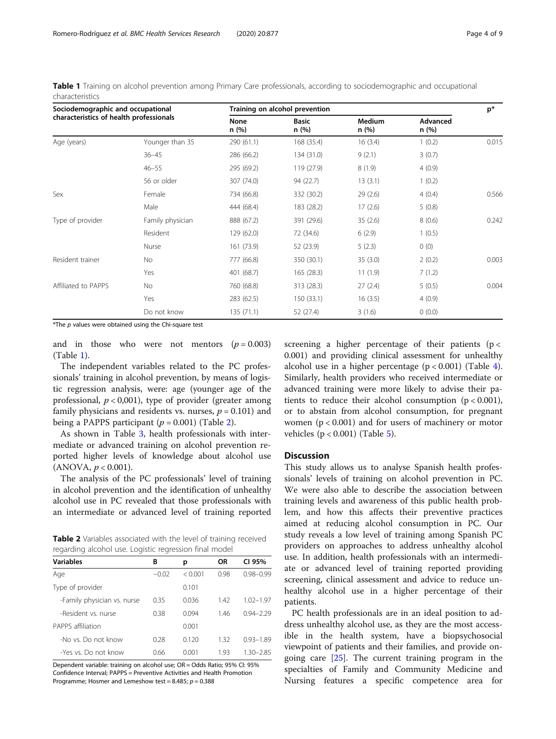Table 1 Training on alcohol prevention among Primary Care professionals, according to sociodemographic and occupational characteristics

| Sociodemographic and occupational<br>characteristics of health professionals |                  | Training on alcohol prevention |                      |                        |                  |       |
|------------------------------------------------------------------------------|------------------|--------------------------------|----------------------|------------------------|------------------|-------|
|                                                                              |                  | <b>None</b><br>n(%)            | <b>Basic</b><br>n(%) | <b>Medium</b><br>n (%) | Advanced<br>n(%) |       |
| Age (years)                                                                  | Younger than 35  | 290 (61.1)                     | 168 (35.4)           | 16(3.4)                | 1(0.2)           | 0.015 |
|                                                                              | $36 - 45$        | 286 (66.2)                     | 134 (31.0)           | 9(2.1)                 | 3(0.7)           |       |
|                                                                              | $46 - 55$        | 295 (69.2)                     | 119 (27.9)           | 8(1.9)                 | 4(0.9)           |       |
|                                                                              | 56 or older      | 307 (74.0)                     | 94 (22.7)            | 13(3.1)                | 1(0.2)           |       |
| Sex                                                                          | Female           | 734 (66.8)                     | 332 (30.2)           | 29(2.6)                | 4(0.4)           | 0.566 |
|                                                                              | Male             | 444 (68.4)                     | 183 (28.2)           | 17(2.6)                | 5(0.8)           |       |
| Type of provider                                                             | Family physician | 888 (67.2)                     | 391 (29.6)           | 35(2.6)                | 8(0.6)           | 0.242 |
|                                                                              | Resident         | 129 (62.0)                     | 72 (34.6)            | 6(2.9)                 | 1(0.5)           |       |
|                                                                              | Nurse            | 161 (73.9)                     | 52 (23.9)            | 5(2.3)                 | 0(0)             |       |
| Resident trainer                                                             | No.              | 777 (66.8)                     | 350 (30.1)           | 35(3.0)                | 2(0.2)           | 0.003 |
|                                                                              | Yes              | 401 (68.7)                     | 165 (28.3)           | 11(1.9)                | 7(1.2)           |       |
| Affiliated to PAPPS                                                          | No.              | 760 (68.8)                     | 313 (28.3)           | 27(2.4)                | 5(0.5)           | 0.004 |
|                                                                              | Yes              | 283 (62.5)                     | 150 (33.1)           | 16(3.5)                | 4(0.9)           |       |
|                                                                              | Do not know      | 135(71.1)                      | 52 (27.4)            | 3(1.6)                 | 0(0.0)           |       |

 $*$ The  $p$  values were obtained using the Chi-square test

and in those who were not mentors  $(p = 0.003)$ (Table 1).

The independent variables related to the PC professionals' training in alcohol prevention, by means of logistic regression analysis, were: age (younger age of the professional,  $p < 0.001$ ), type of provider (greater among family physicians and residents vs. nurses,  $p = 0.101$ ) and being a PAPPS participant  $(p = 0.001)$  (Table 2).

As shown in Table [3,](#page-4-0) health professionals with intermediate or advanced training on alcohol prevention reported higher levels of knowledge about alcohol use  $(ANOVA, p < 0.001).$ 

The analysis of the PC professionals' level of training in alcohol prevention and the identification of unhealthy alcohol use in PC revealed that those professionals with an intermediate or advanced level of training reported

Table 2 Variables associated with the level of training received regarding alcohol use. Logistic regression final model

| В       | р       | ΟR   | CI 95%        |
|---------|---------|------|---------------|
| $-0.02$ | < 0.001 | 0.98 | $0.98 - 0.99$ |
|         | 0.101   |      |               |
| 0.35    | 0.036   | 142  | $1.02 - 1.97$ |
| 0.38    | 0.094   | 146  | $0.94 - 2.29$ |
|         | 0.001   |      |               |
| 0.28    | 0.120   | 1.32 | $0.93 - 1.89$ |
| 0.66    | 0.001   | 1.93 | $1.30 - 2.85$ |
|         |         |      |               |

Dependent variable: training on alcohol use; OR = Odds Ratio; 95% CI: 95% Confidence Interval; PAPPS = Preventive Activities and Health Promotion Programme; Hosmer and Lemeshow test = 8.485;  $p = 0.388$ 

screening a higher percentage of their patients ( $p <$ 0.001) and providing clinical assessment for unhealthy alcohol use in a higher percentage  $(p < 0.001)$  (Table [4](#page-4-0)). Similarly, health providers who received intermediate or advanced training were more likely to advise their patients to reduce their alcohol consumption  $(p < 0.001)$ , or to abstain from alcohol consumption, for pregnant women  $(p < 0.001)$  and for users of machinery or motor vehicles  $(p < 0.001)$  (Table [5](#page-5-0)).

# **Discussion**

This study allows us to analyse Spanish health professionals' levels of training on alcohol prevention in PC. We were also able to describe the association between training levels and awareness of this public health problem, and how this affects their preventive practices aimed at reducing alcohol consumption in PC. Our study reveals a low level of training among Spanish PC providers on approaches to address unhealthy alcohol use. In addition, health professionals with an intermediate or advanced level of training reported providing screening, clinical assessment and advice to reduce unhealthy alcohol use in a higher percentage of their patients.

PC health professionals are in an ideal position to address unhealthy alcohol use, as they are the most accessible in the health system, have a biopsychosocial viewpoint of patients and their families, and provide ongoing care [[25\]](#page-7-0). The current training program in the specialties of Family and Community Medicine and Nursing features a specific competence area for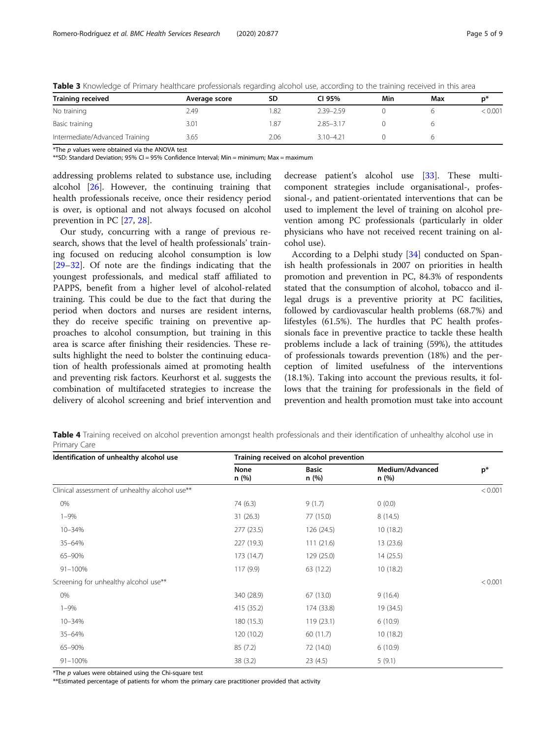| <b>Training received</b>       | Average score | SD   | CI 95%        | Min | Max | n*      |
|--------------------------------|---------------|------|---------------|-----|-----|---------|
| No training                    | 2.49          | 82.  | 2.39-2.59     |     |     | < 0.001 |
| Basic training                 | 3.01          | .87  | $2.85 - 3.17$ |     |     |         |
| Intermediate/Advanced Training | 3.65          | 2.06 | $3.10 - 4.21$ |     |     |         |

<span id="page-4-0"></span>Table 3 Knowledge of Primary healthcare professionals regarding alcohol use, according to the training received in this area

 $*$ The  $p$  values were obtained via the ANOVA test

\*\*SD: Standard Deviation: 95% CI = 95% Confidence Interval: Min = minimum: Max = maximum

addressing problems related to substance use, including alcohol [\[26](#page-7-0)]. However, the continuing training that health professionals receive, once their residency period is over, is optional and not always focused on alcohol prevention in PC [[27,](#page-7-0) [28](#page-7-0)].

Our study, concurring with a range of previous research, shows that the level of health professionals' training focused on reducing alcohol consumption is low [[29](#page-7-0)–[32](#page-7-0)]. Of note are the findings indicating that the youngest professionals, and medical staff affiliated to PAPPS, benefit from a higher level of alcohol-related training. This could be due to the fact that during the period when doctors and nurses are resident interns, they do receive specific training on preventive approaches to alcohol consumption, but training in this area is scarce after finishing their residencies. These results highlight the need to bolster the continuing education of health professionals aimed at promoting health and preventing risk factors. Keurhorst et al. suggests the combination of multifaceted strategies to increase the delivery of alcohol screening and brief intervention and decrease patient's alcohol use [[33](#page-7-0)]. These multicomponent strategies include organisational-, professional-, and patient-orientated interventions that can be used to implement the level of training on alcohol prevention among PC professionals (particularly in older physicians who have not received recent training on alcohol use).

According to a Delphi study [[34\]](#page-7-0) conducted on Spanish health professionals in 2007 on priorities in health promotion and prevention in PC, 84.3% of respondents stated that the consumption of alcohol, tobacco and illegal drugs is a preventive priority at PC facilities, followed by cardiovascular health problems (68.7%) and lifestyles (61.5%). The hurdles that PC health professionals face in preventive practice to tackle these health problems include a lack of training (59%), the attitudes of professionals towards prevention (18%) and the perception of limited usefulness of the interventions (18.1%). Taking into account the previous results, it follows that the training for professionals in the field of prevention and health promotion must take into account

Table 4 Training received on alcohol prevention amongst health professionals and their identification of unhealthy alcohol use in Primary Care

| Identification of unhealthy alcohol use        | Training received on alcohol prevention |                       |                          |         |  |
|------------------------------------------------|-----------------------------------------|-----------------------|--------------------------|---------|--|
|                                                | None<br>n (%)                           | <b>Basic</b><br>n (%) | Medium/Advanced<br>n (%) | $p^*$   |  |
| Clinical assessment of unhealthy alcohol use** |                                         |                       |                          | < 0.001 |  |
| 0%                                             | 74 (6.3)                                | 9(1.7)                | 0(0.0)                   |         |  |
| $1 - 9%$                                       | 31(26.3)                                | 77 (15.0)             | 8(14.5)                  |         |  |
| 10-34%                                         | 277(23.5)                               | 126 (24.5)            | 10(18.2)                 |         |  |
| 35-64%                                         | 227 (19.3)                              | 111(21.6)             | 13 (23.6)                |         |  |
| 65-90%                                         | 173 (14.7)                              | 129 (25.0)            | 14(25.5)                 |         |  |
| 91-100%                                        | 117(9.9)                                | 63 (12.2)             | 10(18.2)                 |         |  |
| Screening for unhealthy alcohol use**          |                                         |                       |                          | < 0.001 |  |
| 0%                                             | 340 (28.9)                              | 67(13.0)              | 9(16.4)                  |         |  |
| $1 - 9%$                                       | 415 (35.2)                              | 174 (33.8)            | 19 (34.5)                |         |  |
| 10-34%                                         | 180 (15.3)                              | 119(23.1)             | 6(10.9)                  |         |  |
| 35-64%                                         | 120 (10.2)                              | 60 (11.7)             | 10(18.2)                 |         |  |
| 65-90%                                         | 85(7.2)                                 | 72 (14.0)             | 6(10.9)                  |         |  |
| 91-100%                                        | 38(3.2)                                 | 23(4.5)               | 5(9.1)                   |         |  |

\*The p values were obtained using the Chi-square test

\*\*Estimated percentage of patients for whom the primary care practitioner provided that activity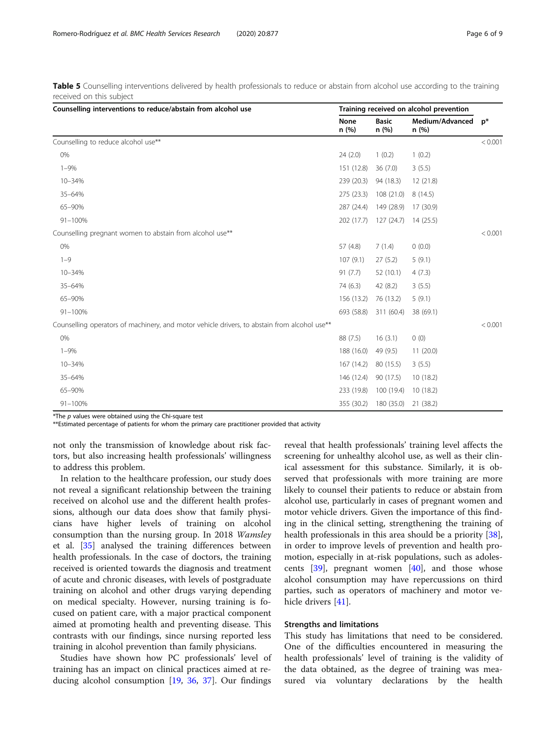| Counselling interventions to reduce/abstain from alcohol use                                 |              | Training received on alcohol prevention |                         |         |  |
|----------------------------------------------------------------------------------------------|--------------|-----------------------------------------|-------------------------|---------|--|
|                                                                                              | None<br>n(%) | <b>Basic</b><br>n (%)                   | Medium/Advanced<br>n(%) | $p^*$   |  |
| Counselling to reduce alcohol use**                                                          |              |                                         |                         | < 0.001 |  |
| 0%                                                                                           | 24(2.0)      | 1(0.2)                                  | 1(0.2)                  |         |  |
| $1 - 9%$                                                                                     | 151 (12.8)   | 36(7.0)                                 | 3(5.5)                  |         |  |
| 10-34%                                                                                       | 239 (20.3)   | 94 (18.3)                               | 12(21.8)                |         |  |
| 35-64%                                                                                       | 275 (23.3)   | 108 (21.0)                              | 8(14.5)                 |         |  |
| 65-90%                                                                                       | 287 (24.4)   | 149 (28.9)                              | 17 (30.9)               |         |  |
| 91-100%                                                                                      | 202 (17.7)   | 127(24.7)                               | 14(25.5)                |         |  |
| Counselling pregnant women to abstain from alcohol use**                                     |              |                                         |                         | < 0.001 |  |
| 0%                                                                                           | 57 (4.8)     | 7(1.4)                                  | 0(0.0)                  |         |  |
| $1 - 9$                                                                                      | 107(9.1)     | 27(5.2)                                 | 5(9.1)                  |         |  |
| 10-34%                                                                                       | 91(7.7)      | 52 (10.1)                               | 4(7.3)                  |         |  |
| 35-64%                                                                                       | 74 (6.3)     | 42(8.2)                                 | 3(5.5)                  |         |  |
| 65-90%                                                                                       | 156 (13.2)   | 76 (13.2)                               | 5(9.1)                  |         |  |
| $91 - 100%$                                                                                  | 693 (58.8)   | 311 (60.4)                              | 38 (69.1)               |         |  |
| Counselling operators of machinery, and motor vehicle drivers, to abstain from alcohol use** |              |                                         |                         | < 0.001 |  |
| 0%                                                                                           | 88 (7.5)     | 16(3.1)                                 | 0(0)                    |         |  |
| $1 - 9%$                                                                                     | 188 (16.0)   | 49 (9.5)                                | 11(20.0)                |         |  |
| 10-34%                                                                                       | 167 (14.2)   | 80 (15.5)                               | 3(5.5)                  |         |  |
| 35-64%                                                                                       | 146 (12.4)   | 90 (17.5)                               | 10(18.2)                |         |  |
| 65-90%                                                                                       | 233 (19.8)   | 100 (19.4)                              | 10(18.2)                |         |  |
| $91 - 100%$                                                                                  | 355 (30.2)   | 180 (35.0)                              | 21 (38.2)               |         |  |

<span id="page-5-0"></span>Table 5 Counselling interventions delivered by health professionals to reduce or abstain from alcohol use according to the training received on this subject

 $*$ The  $p$  values were obtained using the Chi-square test

\*\*Estimated percentage of patients for whom the primary care practitioner provided that activity

not only the transmission of knowledge about risk factors, but also increasing health professionals' willingness to address this problem.

In relation to the healthcare profession, our study does not reveal a significant relationship between the training received on alcohol use and the different health professions, although our data does show that family physicians have higher levels of training on alcohol consumption than the nursing group. In 2018 Wamsley et al. [\[35\]](#page-7-0) analysed the training differences between health professionals. In the case of doctors, the training received is oriented towards the diagnosis and treatment of acute and chronic diseases, with levels of postgraduate training on alcohol and other drugs varying depending on medical specialty. However, nursing training is focused on patient care, with a major practical component aimed at promoting health and preventing disease. This contrasts with our findings, since nursing reported less training in alcohol prevention than family physicians.

Studies have shown how PC professionals' level of training has an impact on clinical practices aimed at reducing alcohol consumption [\[19](#page-7-0), [36,](#page-7-0) [37\]](#page-7-0). Our findings

reveal that health professionals' training level affects the screening for unhealthy alcohol use, as well as their clinical assessment for this substance. Similarly, it is observed that professionals with more training are more likely to counsel their patients to reduce or abstain from alcohol use, particularly in cases of pregnant women and motor vehicle drivers. Given the importance of this finding in the clinical setting, strengthening the training of health professionals in this area should be a priority [\[38](#page-7-0)], in order to improve levels of prevention and health promotion, especially in at-risk populations, such as adolescents  $[39]$  $[39]$ , pregnant women  $[40]$  $[40]$ , and those whose alcohol consumption may have repercussions on third parties, such as operators of machinery and motor vehicle drivers [[41\]](#page-8-0).

# Strengths and limitations

This study has limitations that need to be considered. One of the difficulties encountered in measuring the health professionals' level of training is the validity of the data obtained, as the degree of training was measured via voluntary declarations by the health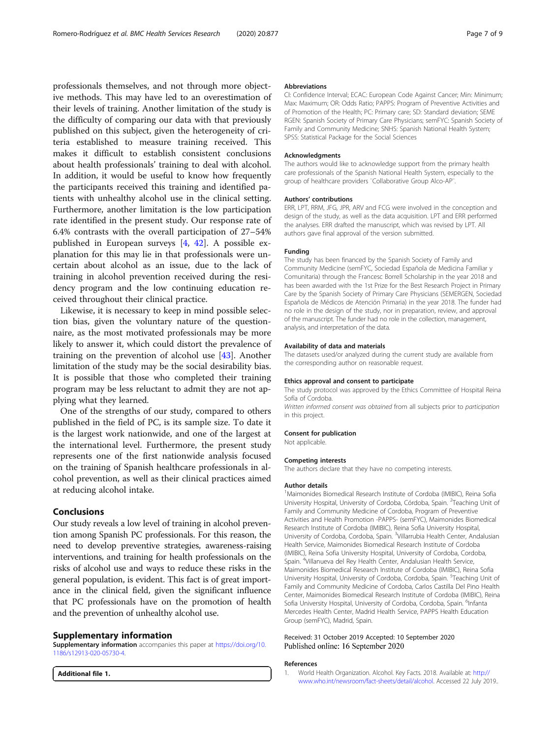<span id="page-6-0"></span>professionals themselves, and not through more objective methods. This may have led to an overestimation of their levels of training. Another limitation of the study is the difficulty of comparing our data with that previously published on this subject, given the heterogeneity of criteria established to measure training received. This makes it difficult to establish consistent conclusions about health professionals' training to deal with alcohol. In addition, it would be useful to know how frequently the participants received this training and identified patients with unhealthy alcohol use in the clinical setting. Furthermore, another limitation is the low participation rate identified in the present study. Our response rate of 6.4% contrasts with the overall participation of 27–54% published in European surveys [\[4](#page-7-0), [42](#page-8-0)]. A possible explanation for this may lie in that professionals were uncertain about alcohol as an issue, due to the lack of training in alcohol prevention received during the residency program and the low continuing education received throughout their clinical practice.

Likewise, it is necessary to keep in mind possible selection bias, given the voluntary nature of the questionnaire, as the most motivated professionals may be more likely to answer it, which could distort the prevalence of training on the prevention of alcohol use [\[43](#page-8-0)]. Another limitation of the study may be the social desirability bias. It is possible that those who completed their training program may be less reluctant to admit they are not applying what they learned.

One of the strengths of our study, compared to others published in the field of PC, is its sample size. To date it is the largest work nationwide, and one of the largest at the international level. Furthermore, the present study represents one of the first nationwide analysis focused on the training of Spanish healthcare professionals in alcohol prevention, as well as their clinical practices aimed at reducing alcohol intake.

## Conclusions

Our study reveals a low level of training in alcohol prevention among Spanish PC professionals. For this reason, the need to develop preventive strategies, awareness-raising interventions, and training for health professionals on the risks of alcohol use and ways to reduce these risks in the general population, is evident. This fact is of great importance in the clinical field, given the significant influence that PC professionals have on the promotion of health and the prevention of unhealthy alcohol use.

# Supplementary information

Supplementary information accompanies this paper at [https://doi.org/10.](https://doi.org/10.1186/s12913-020-05730-4) [1186/s12913-020-05730-4](https://doi.org/10.1186/s12913-020-05730-4).

Additional file 1.

#### Abbreviations

CI: Confidence Interval; ECAC: European Code Against Cancer; Min: Minimum; Max: Maximum; OR: Odds Ratio; PAPPS: Program of Preventive Activities and of Promotion of the Health; PC: Primary care; SD: Standard deviation; SEME RGEN: Spanish Society of Primary Care Physicians; semFYC: Spanish Society of Family and Community Medicine; SNHS: Spanish National Health System; SPSS: Statistical Package for the Social Sciences

#### Acknowledgments

The authors would like to acknowledge support from the primary health care professionals of the Spanish National Health System, especially to the group of healthcare providers ¨Collaborative Group Alco-AP¨.

#### Authors' contributions

ERR, LPT, RRM, JFG, JPR, ARV and FCG were involved in the conception and design of the study, as well as the data acquisition. LPT and ERR performed the analyses. ERR drafted the manuscript, which was revised by LPT. All authors gave final approval of the version submitted.

#### Funding

The study has been financed by the Spanish Society of Family and Community Medicine (semFYC, Sociedad Española de Medicina Familiar y Comunitaria) through the Francesc Borrell Scholarship in the year 2018 and has been awarded with the 1st Prize for the Best Research Project in Primary Care by the Spanish Society of Primary Care Physicians (SEMERGEN, Sociedad Española de Médicos de Atención Primaria) in the year 2018. The funder had no role in the design of the study, nor in preparation, review, and approval of the manuscript. The funder had no role in the collection, management, analysis, and interpretation of the data.

#### Availability of data and materials

The datasets used/or analyzed during the current study are available from the corresponding author on reasonable request.

#### Ethics approval and consent to participate

The study protocol was approved by the Ethics Committee of Hospital Reina Sofía of Cordoba.

Written informed consent was obtained from all subjects prior to participation in this project.

#### Consent for publication

Not applicable.

#### Competing interests

The authors declare that they have no competing interests.

#### Author details

<sup>1</sup>Maimonides Biomedical Research Institute of Cordoba (IMIBIC), Reina Sofia University Hospital, University of Cordoba, Córdoba, Spain. <sup>2</sup>Teaching Unit of Family and Community Medicine of Cordoba, Program of Preventive Activities and Health Promotion -PAPPS- (semFYC), Maimonides Biomedical Research Institute of Cordoba (IMIBIC), Reina Sofia University Hospital, University of Cordoba, Cordoba, Spain. <sup>3</sup>Villarrubia Health Center, Andalusian Health Service, Maimonides Biomedical Research Institute of Cordoba (IMIBIC), Reina Sofia University Hospital, University of Cordoba, Cordoba, Spain. <sup>4</sup>Villanueva del Rey Health Center, Andalusian Health Service, Maimonides Biomedical Research Institute of Cordoba (IMIBIC), Reina Sofia University Hospital, University of Cordoba, Cordoba, Spain. <sup>5</sup>Teaching Unit of Family and Community Medicine of Cordoba, Carlos Castilla Del Pino Health Center, Maimonides Biomedical Research Institute of Cordoba (IMIBIC), Reina Sofia University Hospital, University of Cordoba, Cordoba, Spain. <sup>6</sup>Infanta Mercedes Health Center, Madrid Health Service, PAPPS Health Education Group (semFYC), Madrid, Spain.

# Received: 31 October 2019 Accepted: 10 September 2020 Published online: 16 September 2020

#### References

1. World Health Organization. Alcohol. Key Facts. 2018. Available at: [http://](http://www.who.int/newsroom/fact-sheets/detail/alcohol) [www.who.int/newsroom/fact-sheets/detail/alcohol](http://www.who.int/newsroom/fact-sheets/detail/alcohol). Accessed 22 July 2019..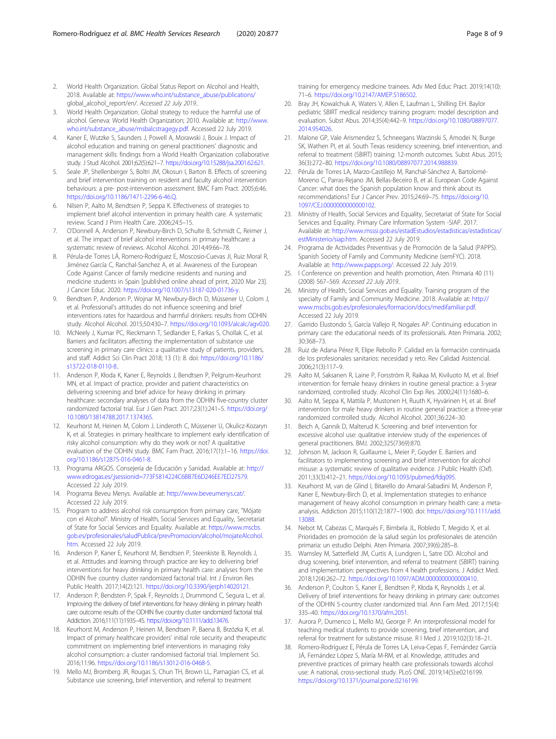- <span id="page-7-0"></span>2. World Health Organization. Global Status Report on Alcohol and Health, 2018. Available at: [https://www.who.int/substance\\_abuse/publications/](https://www.who.int/substance_abuse/publications/) global alcohol report/en/. Accessed 22 July 2019..
- 3. World Health Organization. Global strategy to reduce the harmful use of alcohol. Geneva: World Health Organization; 2010. Available at: [http://www.](http://www.who.int/substance_abuse/msbalcstragegy.pdf) [who.int/substance\\_abuse/msbalcstragegy.pdf.](http://www.who.int/substance_abuse/msbalcstragegy.pdf) Accessed 22 July 2019.
- 4. Kaner E, Wutzke S, Saunders J, Powell A, Morawski J, Bouix J. Impact of alcohol education and training on general practitioners' diagnostic and management skills: findings from a World Health Organization collaborative study. J Stud Alcohol. 2001;62(5):621–7. <https://doi.org/10.15288/jsa.2001.62.621>.
- 5. Seale JP, Shellenberger S, Boltri JM, Okosun I, Barton B. Effects of screening and brief intervention training on resident and faculty alcohol intervention behaviours: a pre- post-intervention assessment. BMC Fam Pract. 2005;6:46. [https://doi.org/10.1186/1471-2296-6-46.Q.](https://doi.org/10.1186/1471-2296-6-46.Q)
- 6. Nilsen P, Aalto M, Bendtsen P, Seppa K. Effectiveness of strategies to implement brief alcohol intervention in primary health care. A systematic review. Scand J Prim Health Care. 2006;24:5–15.
- 7. O'Donnell A, Anderson P, Newbury-Birch D, Schulte B, Schmidt C, Reimer J, et al. The impact of brief alcohol interventions in primary healthcare: a systematic review of reviews. Alcohol Alcohol. 2014;49:66–78.
- 8. Pérula-de Torres LÁ, Romero-Rodríguez E, Moscosio-Cuevas JI, Ruiz Moral R, Jiménez García C, Ranchal-Sanchez A, et al. Awareness of the European Code Against Cancer of family medicine residents and nursing and medicine students in Spain [published online ahead of print, 2020 Mar 23]. J Cancer Educ. 2020. [https://doi.org/10.1007/s13187-020-01736-y.](https://doi.org/10.1007/s13187-020-01736-y)
- 9. Bendtsen P, Anderson P, Wojnar M, Newbury-Birch D, Müssener U, Colom J, et al. Professional's attitudes do not influence screening and brief interventions rates for hazardous and harmful drinkers: results from ODHIN study. Alcohol Alcohol. 2015;50:430–7. <https://doi.org/10.1093/alcalc/agv020>.
- 10. McNeely J, Kumar PC, Rieckmann T, Sedlander E, Farkas S, Chollak C, et al. Barriers and facilitators affecting the implementation of substance use screening in primary care clinics: a qualitative study of patients, providers, and staff. Addict Sci Clin Pract 2018; 13 (1): 8. doi: [https://doi.org/10.1186/](https://doi.org/10.1186/s13722-018-0110-8) [s13722-018-0110-8.](https://doi.org/10.1186/s13722-018-0110-8).
- 11. Anderson P, Kłoda K, Kaner E, Reynolds J, Bendtsen P, Pelgrum-Keurhorst MN, et al. Impact of practice, provider and patient characteristics on delivering screening and brief advice for heavy drinking in primary healthcare: secondary analyses of data from the ODHIN five-country cluster randomized factorial trial. Eur J Gen Pract. 2017;23(1):241–5. [https://doi.org/](https://doi.org/10.1080/13814788.2017.1374365) [10.1080/13814788.2017.1374365.](https://doi.org/10.1080/13814788.2017.1374365)
- 12. Keurhorst M, Heinen M, Colom J, Linderoth C, Müssener U, Okulicz-Kozaryn K, et al. Strategies in primary healthcare to implement early identification of risky alcohol consumption: why do they work or not? A qualitative evaluation of the ODHIN study. BMC Fam Pract. 2016;17(1):1–16. [https://doi.](https://doi.org/10.1186/s12875-016-0461-8) [org/10.1186/s12875-016-0461-8](https://doi.org/10.1186/s12875-016-0461-8).
- 13. Programa ARGOS. Consejería de Educación y Sanidad. Available at: [http://](http://www.edrogas.es/;jsessionid=773F5814224C6BB7E6D246EE7ED27579) [www.edrogas.es/;jsessionid=773F5814224C6BB7E6D246EE7ED27579.](http://www.edrogas.es/;jsessionid=773F5814224C6BB7E6D246EE7ED27579) Accessed 22 July 2019.
- 14. Programa Beveu Menys. Available at: [http://www.beveumenys.cat/.](http://www.beveumenys.cat/) Accessed 22 July 2019.
- 15. Program to address alcohol risk consumption from primary care, "Mójate con el Alcohol". Ministry of Health, Social Services and Equality, Secretariat of State for Social Services and Equality. Available at: [https://www.mscbs.](https://www.mscbs.gob.es/profesionales/saludPublica/prevPromocion/alcohol/mojateAlcohol.htm) [gob.es/profesionales/saludPublica/prevPromocion/alcohol/mojateAlcohol.](https://www.mscbs.gob.es/profesionales/saludPublica/prevPromocion/alcohol/mojateAlcohol.htm) [htm](https://www.mscbs.gob.es/profesionales/saludPublica/prevPromocion/alcohol/mojateAlcohol.htm). Accessed 22 July 2019.
- 16. Anderson P, Kaner E, Keurhorst M, Bendtsen P, Steenkiste B, Reynolds J, et al. Attitudes and learning through practice are key to delivering brief interventions for heavy drinking in primary health care: analyses from the ODHIN five country cluster randomized factorial trial. Int J Environ Res Public Health. 2017;14(2):121. [https://doi.org/10.3390/ijerph14020121.](https://doi.org/10.3390/ijerph14020121)
- 17. Anderson P, Bendsten P, Spak F, Reynolds J, Drummond C, Segura L, et al. Improving the delivery of brief interventions for heavy drinking in primary health care: outcome results of the ODHIN five country cluster randomized factorial trial. Addiction. 2016;111(11):1935–45. <https://doi.org/10.1111/add.13476>.
- 18. Keurhorst M, Anderson P, Heinen M, Bendtsen P, Baena B, Brzózka K, et al. Impact of primary healthcare providers' initial role security and therapeutic commitment on implementing brief interventions in managing risky alcohol consumption: a cluster randomised factorial trial. Implement Sci. 2016;11:96. <https://doi.org/10.1186/s13012-016-0468-5>.
- 19. Mello MJ, Bromberg JR, Rougas S, Chun TH, Brown LL, Parnagian CS, et al. Substance use screening, brief intervention, and referral to treatment

training for emergency medicine trainees. Adv Med Educ Pract. 2019;14(10): 71–6. <https://doi.org/10.2147/AMEP.S186502>.

- 20. Bray JH, Kowalchuk A, Waters V, Allen E, Laufman L, Shilling EH. Baylor pediatric SBIRT medical residency training program: model description and evaluation. Subst Abus. 2014;35(4):442–9. [https://doi.org/10.1080/08897077.](https://doi.org/10.1080/08897077.2014.954026) [2014.954026](https://doi.org/10.1080/08897077.2014.954026).
- 21. Malone GP, Vale Arismendez S, Schneegans Warzinski S, Amodei N, Burge SK, Wathen PI, et al. South Texas residency screening, brief intervention, and referral to treatment (SBIRT) training: 12-month outcomes. Subst Abus. 2015; 36(3):272–80. [https://doi.org/10.1080/08897077.2014.988839.](https://doi.org/10.1080/08897077.2014.988839)
- 22. Pérula de Torres LA, Marzo-Castillejo M, Ranchal-Sánchez A, Bartolomé-Moreno C, Parras-Rejano JM, Bellas-Beceiro B, et al. European Code Against Cancer: what does the Spanish population know and think about its recommendations? Eur J Cancer Prev. 2015;24:69–75. [https://doi.org/10.](https://doi.org/10.1097/CEJ.0000000000000102) [1097/CEJ.0000000000000102](https://doi.org/10.1097/CEJ.0000000000000102).
- 23. Ministry of Health, Social Services and Equality, Secretariat of State for Social Services and Equality. Primary Care Information System -SIAP. 2017. Available at: [http://www.msssi.gob.es/estadEstudios/estadisticas/estadisticas/](http://www.msssi.gob.es/estadEstudios/estadisticas/estadisticas/estMinisterio/siap.htm) [estMinisterio/siap.htm](http://www.msssi.gob.es/estadEstudios/estadisticas/estadisticas/estMinisterio/siap.htm). Accessed 22 July 2019.
- 24. Programa de Actividades Preventivas y de Promoción de la Salud (PAPPS). Spanish Society of Family and Community Medicine (semFYC). 2018. Available at: <http://www.papps.org/>. Accessed 22 July 2019.
- 25. I Conference on prevention and health promotion, Aten. Primaria 40 (11) (2008) 567–569. Accessed 22 July 2019..
- 26. Ministry of Health, Social Services and Equality. Training program of the specialty of Family and Community Medicine. 2018. Available at: [http://](http://www.mscbs.gob.es/profesionales/formacion/docs/medifamiliar.pdf) [www.mscbs.gob.es/profesionales/formacion/docs/medifamiliar.pdf](http://www.mscbs.gob.es/profesionales/formacion/docs/medifamiliar.pdf). Accessed 22 July 2019.
- 27. Garrido Elustondo S, García Vallejo R, Nogales AP. Continuing education in primary care: the educational needs of its professionals. Aten Primaria. 2002; 30:368–73.
- 28. Ruiz de Adana Pérez R, Elipe Rebollo P. Calidad en la formación continuada de los profesionales sanitarios: necesidad y reto. Rev Calidad Asistencial. 2006;21(3):117–9.
- 29. Aalto M, Saksanen R, Laine P, Forsström R, Raikaa M, Kiviluoto M, et al. Brief intervention for female heavy drinkers in routine general practice: a 3-year randomized, controlled study. Alcohol Clin Exp Res. 2000;24(11):1680–6.
- 30. Aalto M, Seppa K, Mattila P, Mustonen H, Ruuth K, Hyvärinen H, et al. Brief intervention for male heavy drinkers in routine general practice: a three-year randomized controlled study. Alcohol Alcohol. 2001;36:224–30.
- 31. Beich A, Gannik D, Malterud K. Screening and brief intervention for excessive alcohol use: qualitative interview study of the experiences of general practitioners. BMJ. 2002;325(7369):870.
- 32. Johnson M, Jackson R, Guillaume L, Meier P, Goyder E. Barriers and facilitators to implementing screening and brief intervention for alcohol misuse: a systematic review of qualitative evidence. J Public Health (Oxf). 2011;33(3):412–21. [https://doi.org/10.1093/pubmed/fdq095.](https://doi.org/10.1093/pubmed/fdq095)
- 33. Keurhorst M, van de Glind I, Bitarello do Amaral-Sabadini M, Anderson P, Kaner E, Newbury-Birch D, et al. Implementation strategies to enhance management of heavy alcohol consumption in primary health care: a metaanalysis. Addiction 2015;110(12):1877–1900. doi: [https://doi.org/10.1111/add.](https://doi.org/10.1111/add.13088) [13088.](https://doi.org/10.1111/add.13088)
- 34. Nebot M, Cabezas C, Marqués F, Bimbela JL, Robledo T, Megido X, et al. Prioridades en promoción de la salud según los profesionales de atención primaria: un estudio Delphi. Aten Primaria. 2007;39(6):285–8.
- 35. Wamsley M, Satterfield JM, Curtis A, Lundgren L, Satre DD. Alcohol and drug screening, brief intervention, and referral to treatment (SBIRT) training and implementation: perspectives from 4 health professions. J Addict Med. 2018;12(4):262–72. [https://doi.org/10.1097/ADM.0000000000000410.](https://doi.org/10.1097/ADM.0000000000000410)
- 36. Anderson P, Coulton S, Kaner E, Bendtsen P, Kłoda K, Reynolds J, et al. Delivery of brief interventions for heavy drinking in primary care: outcomes of the ODHIN 5-country cluster randomized trial. Ann Fam Med. 2017;15(4): 335–40. [https://doi.org/10.1370/afm.2051.](https://doi.org/10.1370/afm.2051)
- 37. Aurora P, Dumenco L, Mello MJ, George P. An interprofessional model for teaching medical students to provide screening, brief intervention, and referral for treatment for substance misuse. R I Med J. 2019;102(3):18–21.
- 38. Romero-Rodríguez E, Pérula de Torres LA, Leiva-Cepas F, Fernández García JÁ, Fernández López S, María M-RM, et al. Knowledge, attitudes and preventive practices of primary health care professionals towards alcohol use: A national, cross-sectional study. PLoS ONE. 2019;14(5):e0216199. [https://doi.org/10.1371/journal.pone.0216199.](https://doi.org/10.1371/journal.pone.0216199)